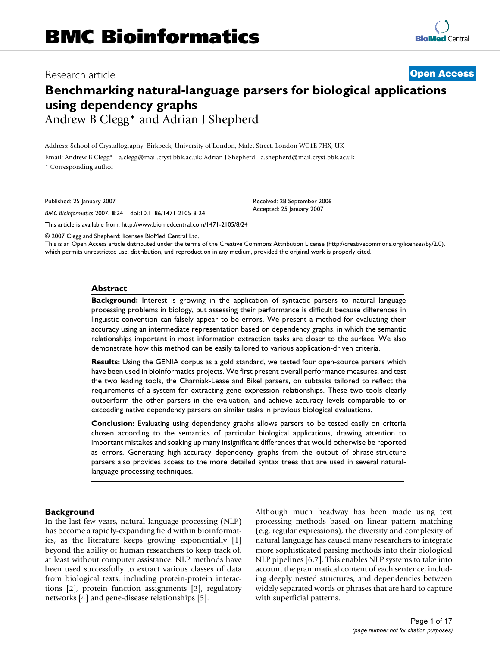## Research article **[Open Access](http://www.biomedcentral.com/info/about/charter/)**

# **Benchmarking natural-language parsers for biological applications using dependency graphs** Andrew B Clegg\* and Adrian J Shepherd

Address: School of Crystallography, Birkbeck, University of London, Malet Street, London WC1E 7HX, UK

Email: Andrew B Clegg\* - a.clegg@mail.cryst.bbk.ac.uk; Adrian J Shepherd - a.shepherd@mail.cryst.bbk.ac.uk \* Corresponding author

Published: 25 January 2007

*BMC Bioinformatics* 2007, **8**:24 doi:10.1186/1471-2105-8-24

[This article is available from: http://www.biomedcentral.com/1471-2105/8/24](http://www.biomedcentral.com/1471-2105/8/24)

© 2007 Clegg and Shepherd; licensee BioMed Central Ltd.

This is an Open Access article distributed under the terms of the Creative Commons Attribution License [\(http://creativecommons.org/licenses/by/2.0\)](http://creativecommons.org/licenses/by/2.0), which permits unrestricted use, distribution, and reproduction in any medium, provided the original work is properly cited.

Received: 28 September 2006 Accepted: 25 January 2007

#### **Abstract**

**Background:** Interest is growing in the application of syntactic parsers to natural language processing problems in biology, but assessing their performance is difficult because differences in linguistic convention can falsely appear to be errors. We present a method for evaluating their accuracy using an intermediate representation based on dependency graphs, in which the semantic relationships important in most information extraction tasks are closer to the surface. We also demonstrate how this method can be easily tailored to various application-driven criteria.

**Results:** Using the GENIA corpus as a gold standard, we tested four open-source parsers which have been used in bioinformatics projects. We first present overall performance measures, and test the two leading tools, the Charniak-Lease and Bikel parsers, on subtasks tailored to reflect the requirements of a system for extracting gene expression relationships. These two tools clearly outperform the other parsers in the evaluation, and achieve accuracy levels comparable to or exceeding native dependency parsers on similar tasks in previous biological evaluations.

**Conclusion:** Evaluating using dependency graphs allows parsers to be tested easily on criteria chosen according to the semantics of particular biological applications, drawing attention to important mistakes and soaking up many insignificant differences that would otherwise be reported as errors. Generating high-accuracy dependency graphs from the output of phrase-structure parsers also provides access to the more detailed syntax trees that are used in several naturallanguage processing techniques.

### **Background**

In the last few years, natural language processing (NLP) has become a rapidly-expanding field within bioinformatics, as the literature keeps growing exponentially [1] beyond the ability of human researchers to keep track of, at least without computer assistance. NLP methods have been used successfully to extract various classes of data from biological texts, including protein-protein interactions [2], protein function assignments [3], regulatory networks [4] and gene-disease relationships [5].

Although much headway has been made using text processing methods based on linear pattern matching (e.g. regular expressions), the diversity and complexity of natural language has caused many researchers to integrate more sophisticated parsing methods into their biological NLP pipelines [6,7]. This enables NLP systems to take into account the grammatical content of each sentence, including deeply nested structures, and dependencies between widely separated words or phrases that are hard to capture with superficial patterns.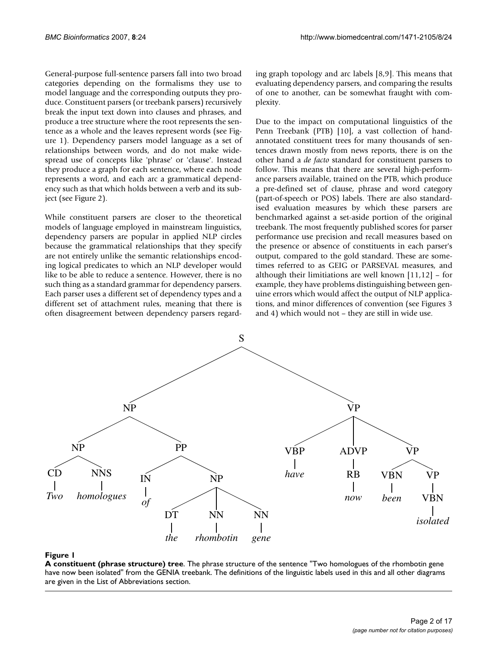General-purpose full-sentence parsers fall into two broad categories depending on the formalisms they use to model language and the corresponding outputs they produce. Constituent parsers (or treebank parsers) recursively break the input text down into clauses and phrases, and produce a tree structure where the root represents the sentence as a whole and the leaves represent words (see Figure 1). Dependency parsers model language as a set of relationships between words, and do not make widespread use of concepts like 'phrase' or 'clause'. Instead they produce a graph for each sentence, where each node represents a word, and each arc a grammatical dependency such as that which holds between a verb and its subject (see Figure 2).

While constituent parsers are closer to the theoretical models of language employed in mainstream linguistics, dependency parsers are popular in applied NLP circles because the grammatical relationships that they specify are not entirely unlike the semantic relationships encoding logical predicates to which an NLP developer would like to be able to reduce a sentence. However, there is no such thing as a standard grammar for dependency parsers. Each parser uses a different set of dependency types and a different set of attachment rules, meaning that there is often disagreement between dependency parsers regarding graph topology and arc labels [8,9]. This means that evaluating dependency parsers, and comparing the results of one to another, can be somewhat fraught with complexity.

Due to the impact on computational linguistics of the Penn Treebank (PTB) [10], a vast collection of handannotated constituent trees for many thousands of sentences drawn mostly from news reports, there is on the other hand a *de facto* standard for constituent parsers to follow. This means that there are several high-performance parsers available, trained on the PTB, which produce a pre-defined set of clause, phrase and word category (part-of-speech or POS) labels. There are also standardised evaluation measures by which these parsers are benchmarked against a set-aside portion of the original treebank. The most frequently published scores for parser performance use precision and recall measures based on the presence or absence of constituents in each parser's output, compared to the gold standard. These are sometimes referred to as GEIG or PARSEVAL measures, and although their limitiations are well known [11,12] – for example, they have problems distinguishing between genuine errors which would affect the output of NLP applications, and minor differences of convention (see Figures 3 and 4) which would not – they are still in wide use.



### **Figure 1**

**A constituent (phrase structure) tree**. The phrase structure of the sentence "Two homologues of the rhombotin gene have now been isolated" from the GENIA treebank. The definitions of the linguistic labels used in this and all other diagrams are given in the List of Abbreviations section.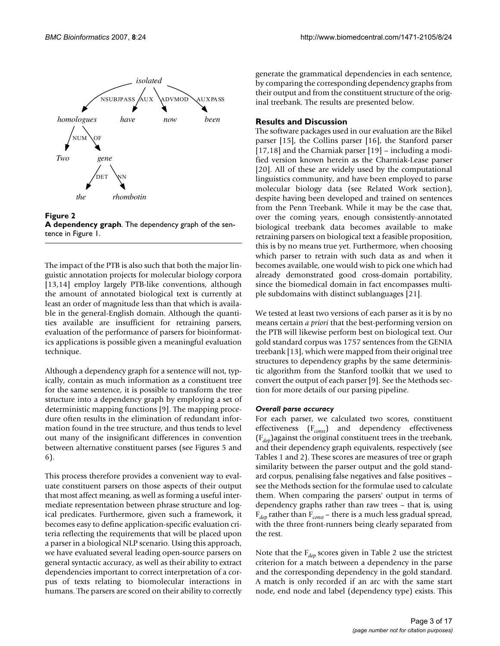

**Figure 2 A dependency graph**. The dependency graph of the sentence in Figure 1.

The impact of the PTB is also such that both the major linguistic annotation projects for molecular biology corpora [13,14] employ largely PTB-like conventions, although the amount of annotated biological text is currently at least an order of magnitude less than that which is available in the general-English domain. Although the quantities available are insufficient for retraining parsers, evaluation of the performance of parsers for bioinformatics applications is possible given a meaningful evaluation technique.

Although a dependency graph for a sentence will not, typically, contain as much information as a constituent tree for the same sentence, it is possible to transform the tree structure into a dependency graph by employing a set of deterministic mapping functions [9]. The mapping procedure often results in the elimination of redundant information found in the tree structure, and thus tends to level out many of the insignificant differences in convention between alternative constituent parses (see Figures 5 and 6).

This process therefore provides a convenient way to evaluate constituent parsers on those aspects of their output that most affect meaning, as well as forming a useful intermediate representation between phrase structure and logical predicates. Furthermore, given such a framework, it becomes easy to define application-specific evaluation criteria reflecting the requirements that will be placed upon a parser in a biological NLP scenario. Using this approach, we have evaluated several leading open-source parsers on general syntactic accuracy, as well as their ability to extract dependencies important to correct interpretation of a corpus of texts relating to biomolecular interactions in humans. The parsers are scored on their ability to correctly generate the grammatical dependencies in each sentence, by comparing the corresponding dependency graphs from their output and from the constituent structure of the original treebank. The results are presented below.

### **Results and Discussion**

The software packages used in our evaluation are the Bikel parser [15], the Collins parser [16], the Stanford parser [17,18] and the Charniak parser [19] – including a modified version known herein as the Charniak-Lease parser [20]. All of these are widely used by the computational linguistics community, and have been employed to parse molecular biology data (see Related Work section), despite having been developed and trained on sentences from the Penn Treebank. While it may be the case that, over the coming years, enough consistently-annotated biological treebank data becomes available to make retraining parsers on biological text a feasible proposition, this is by no means true yet. Furthermore, when choosing which parser to retrain with such data as and when it becomes available, one would wish to pick one which had already demonstrated good cross-domain portability, since the biomedical domain in fact encompasses multiple subdomains with distinct sublanguages [21].

We tested at least two versions of each parser as it is by no means certain *a priori* that the best-performing version on the PTB will likewise perform best on biological text. Our gold standard corpus was 1757 sentences from the GENIA treebank [13], which were mapped from their original tree structures to dependency graphs by the same deterministic algorithm from the Stanford toolkit that we used to convert the output of each parser [9]. See the Methods section for more details of our parsing pipeline.

### *Overall parse accuracy*

For each parser, we calculated two scores, constituent effectiveness (F*const*) and dependency effectiveness (F*dep*)against the original constituent trees in the treebank, and their dependency graph equivalents, respectively (see Tables 1 and 2). These scores are measures of tree or graph similarity between the parser output and the gold standard corpus, penalising false negatives and false positives – see the Methods section for the formulae used to calculate them. When comparing the parsers' output in terms of dependency graphs rather than raw trees – that is, using F*dep* rather than F*const* – there is a much less gradual spread, with the three front-runners being clearly separated from the rest.

Note that the F*dep* scores given in Table 2 use the strictest criterion for a match between a dependency in the parse and the corresponding dependency in the gold standard. A match is only recorded if an arc with the same start node, end node and label (dependency type) exists. This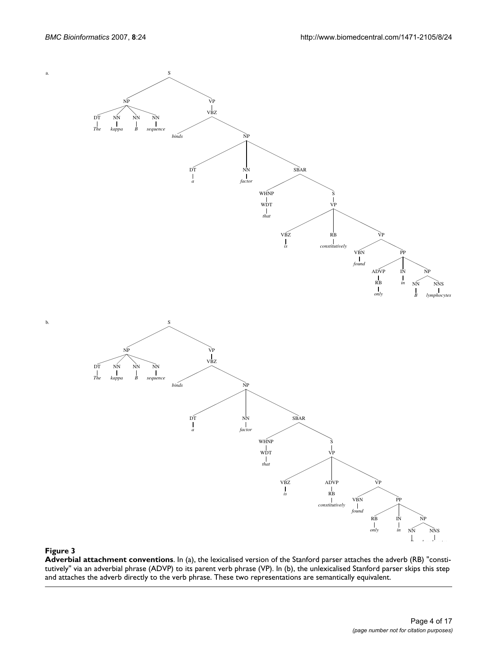

**Adverbial attachment conventions**. In (a), the lexicalised version of the Stanford parser attaches the adverb (RB) "constitutively" via an adverbial phrase (ADVP) to its parent verb phrase (VP). In (b), the unlexicalised Stanford parser skips this step and attaches the adverb directly to the verb phrase. These two representations are semantically equivalent.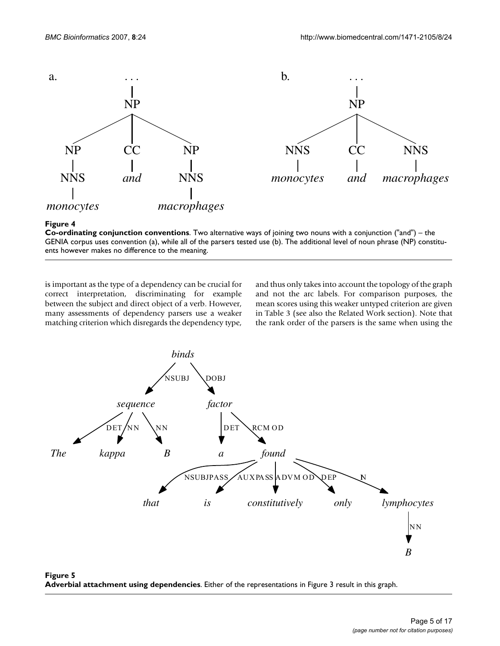

**Co-ordinating conjunction conventions**. Two alternative ways of joining two nouns with a conjunction ("and") – the GENIA corpus uses convention (a), while all of the parsers tested use (b). The additional level of noun phrase (NP) constituents however makes no difference to the meaning.

is important as the type of a dependency can be crucial for correct interpretation, discriminating for example between the subject and direct object of a verb. However, many assessments of dependency parsers use a weaker matching criterion which disregards the dependency type, and thus only takes into account the topology of the graph and not the arc labels. For comparison purposes, the mean scores using this weaker untyped criterion are given in Table 3 (see also the Related Work section). Note that the rank order of the parsers is the same when using the



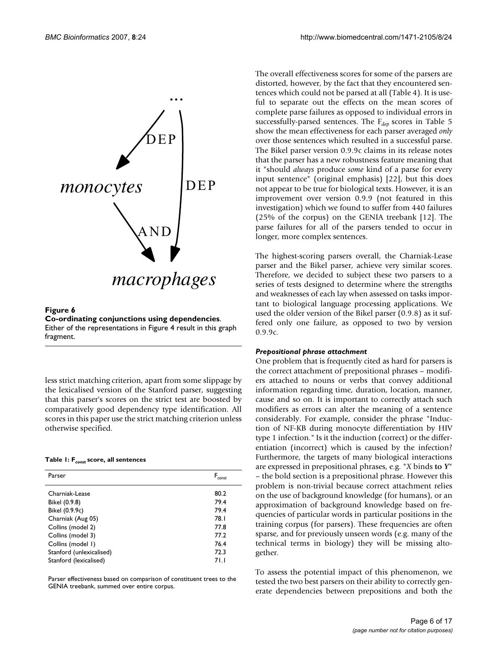

**Co-ordinating conjunctions using dependencies**. Either of the representations in Figure 4 result in this graph fragment.

less strict matching criterion, apart from some slippage by the lexicalised version of the Stanford parser, suggesting that this parser's scores on the strict test are boosted by comparatively good dependency type identification. All scores in this paper use the strict matching criterion unless otherwise specified.

#### **Table 1: F***const* **score, all sentences**

| Parser                   | $F_{const}$ |
|--------------------------|-------------|
| Charniak-Lease           | 80.2        |
| Bikel (0.9.8)            | 79.4        |
| Bikel (0.9.9c)           | 79.4        |
| Charniak (Aug 05)        | 78. I       |
| Collins (model 2)        | 77.8        |
| Collins (model 3)        | 77.2        |
| Collins (model 1)        | 76.4        |
| Stanford (unlexicalised) | 72.3        |
| Stanford (lexicalised)   | 71.I        |
|                          |             |

Parser effectiveness based on comparison of constituent trees to the GENIA treebank, summed over entire corpus.

The overall effectiveness scores for some of the parsers are distorted, however, by the fact that they encountered sentences which could not be parsed at all (Table 4). It is useful to separate out the effects on the mean scores of complete parse failures as opposed to individual errors in successfully-parsed sentences. The F*dep* scores in Table 5 show the mean effectiveness for each parser averaged *only* over those sentences which resulted in a successful parse. The Bikel parser version 0.9.9c claims in its release notes that the parser has a new robustness feature meaning that it "should *always* produce *some* kind of a parse for every input sentence" (original emphasis) [22], but this does not appear to be true for biological texts. However, it is an improvement over version 0.9.9 (not featured in this investigation) which we found to suffer from 440 failures (25% of the corpus) on the GENIA treebank [12]. The parse failures for all of the parsers tended to occur in longer, more complex sentences.

The highest-scoring parsers overall, the Charniak-Lease parser and the Bikel parser, achieve very similar scores. Therefore, we decided to subject these two parsers to a series of tests designed to determine where the strengths and weaknesses of each lay when assessed on tasks important to biological language processing applications. We used the older version of the Bikel parser (0.9.8) as it suffered only one failure, as opposed to two by version 0.9.9c.

### *Prepositional phrase attachment*

One problem that is frequently cited as hard for parsers is the correct attachment of prepositional phrases – modifiers attached to nouns or verbs that convey additional information regarding time, duration, location, manner, cause and so on. It is important to correctly attach such modifiers as errors can alter the meaning of a sentence considerably. For example, consider the phrase "Induction of NF-KB during monocyte differentiation by HIV type 1 infection." Is it the induction (correct) or the differentiation (incorrect) which is caused by the infection? Furthermore, the targets of many biological interactions are expressed in prepositional phrases, e.g. "*X* binds **to** *Y*" – the bold section is a prepositional phrase. However this problem is non-trivial because correct attachment relies on the use of background knowledge (for humans), or an approximation of background knowledge based on frequencies of particular words in particular positions in the training corpus (for parsers). These frequencies are often sparse, and for previously unseen words (e.g. many of the technical terms in biology) they will be missing altogether.

To assess the potential impact of this phenomenon, we tested the two best parsers on their ability to correctly generate dependencies between prepositions and both the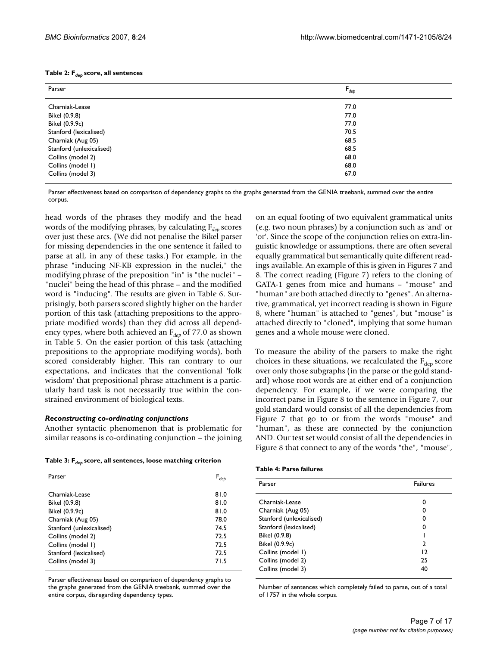#### **Table 2: F***dep* **score, all sentences**

| Parser                   | $F_{dep}$ |
|--------------------------|-----------|
| Charniak-Lease           | 77.0      |
| Bikel (0.9.8)            | 77.0      |
| Bikel (0.9.9c)           | 77.0      |
| Stanford (lexicalised)   | 70.5      |
| Charniak (Aug 05)        | 68.5      |
| Stanford (unlexicalised) | 68.5      |
| Collins (model 2)        | 68.0      |
| Collins (model 1)        | 68.0      |
| Collins (model 3)        | 67.0      |

Parser effectiveness based on comparison of dependency graphs to the graphs generated from the GENIA treebank, summed over the entire corpus.

head words of the phrases they modify and the head words of the modifying phrases, by calculating F*dep* scores over just these arcs. (We did not penalise the Bikel parser for missing dependencies in the one sentence it failed to parse at all, in any of these tasks.) For example, in the phrase "inducing NF-KB expression in the nuclei," the modifying phrase of the preposition "in" is "the nuclei" – "nuclei" being the head of this phrase – and the modified word is "inducing". The results are given in Table 6. Surprisingly, both parsers scored slightly higher on the harder portion of this task (attaching prepositions to the appropriate modified words) than they did across all dependency types, where both achieved an F*dep* of 77.0 as shown in Table 5. On the easier portion of this task (attaching prepositions to the appropriate modifying words), both scored considerably higher. This ran contrary to our expectations, and indicates that the conventional 'folk wisdom' that prepositional phrase attachment is a particularly hard task is not necessarily true within the constrained environment of biological texts.

### *Reconstructing co-ordinating conjunctions*

Another syntactic phenomenon that is problematic for similar reasons is co-ordinating conjunction – the joining

| Table 3: $\mathsf{F}_{\sf dep}$ score, all sentences, loose matching criterion |  |  |  |  |  |
|--------------------------------------------------------------------------------|--|--|--|--|--|
|--------------------------------------------------------------------------------|--|--|--|--|--|

| Parser                   | $\mathsf{F}_{\mathsf{dep}}$ |
|--------------------------|-----------------------------|
| Charniak-Lease           | 81.0                        |
| Bikel (0.9.8)            | 81.0                        |
| Bikel (0.9.9c)           | 81.0                        |
| Charniak (Aug 05)        | 78.0                        |
| Stanford (unlexicalised) | 74.5                        |
| Collins (model 2)        | 72.5                        |
| Collins (model 1)        | 72.5                        |
| Stanford (lexicalised)   | 72.5                        |
| Collins (model 3)        | 71.5                        |
|                          |                             |

Parser effectiveness based on comparison of dependency graphs to the graphs generated from the GENIA treebank, summed over the entire corpus, disregarding dependency types.

on an equal footing of two equivalent grammatical units (e.g. two noun phrases) by a conjunction such as 'and' or 'or'. Since the scope of the conjunction relies on extra-linguistic knowledge or assumptions, there are often several equally grammatical but semantically quite different readings available. An example of this is given in Figures 7 and 8. The correct reading (Figure 7) refers to the cloning of GATA-1 genes from mice and humans – "mouse" and "human" are both attached directly to "genes". An alternative, grammatical, yet incorrect reading is shown in Figure 8, where "human" is attached to "genes", but "mouse" is attached directly to "cloned", implying that some human genes and a whole mouse were cloned.

To measure the ability of the parsers to make the right choices in these situations, we recalculated the  $F_{\text{dep}}$  score over only those subgraphs (in the parse or the gold standard) whose root words are at either end of a conjunction dependency. For example, if we were comparing the incorrect parse in Figure 8 to the sentence in Figure 7, our gold standard would consist of all the dependencies from Figure 7 that go to or from the words "mouse" and "human", as these are connected by the conjunction AND. Our test set would consist of all the dependencies in Figure 8 that connect to any of the words "the", "mouse",

| Table 4: Parse failures |
|-------------------------|
|-------------------------|

| Parser                   | <b>Failures</b> |
|--------------------------|-----------------|
| Charniak-Lease           | O               |
| Charniak (Aug 05)        | 0               |
| Stanford (unlexicalised) | o               |
| Stanford (lexicalised)   | 0               |
| Bikel (0.9.8)            |                 |
| Bikel (0.9.9c)           | 2               |
| Collins (model 1)        | 12              |
| Collins (model 2)        | 25              |
| Collins (model 3)        | 40              |
|                          |                 |

Number of sentences which completely failed to parse, out of a total of 1757 in the whole corpus.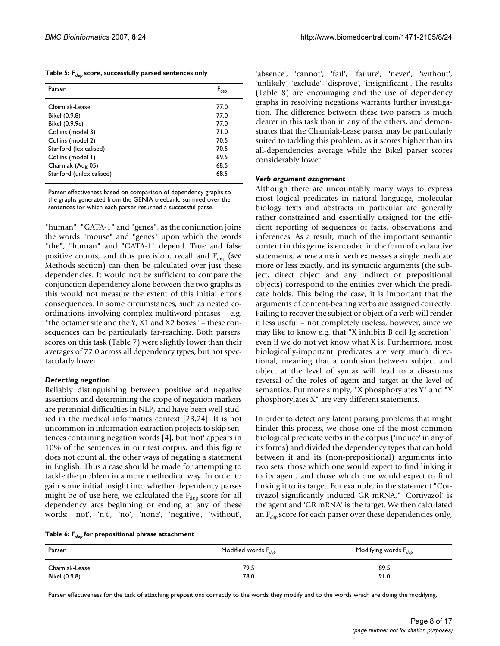| Table 5: F <sub>deb</sub> score, successfully parsed sentences only |  |  |
|---------------------------------------------------------------------|--|--|
|---------------------------------------------------------------------|--|--|

| Parser                   | $\mathsf{F}_{\mathsf{dep}}$ |
|--------------------------|-----------------------------|
| Charniak-Lease           | 77.0                        |
| Bikel (0.9.8)            | 77.0                        |
| Bikel (0.9.9c)           | 77.0                        |
| Collins (model 3)        | 71.0                        |
| Collins (model 2)        | 70.5                        |
| Stanford (lexicalised)   | 70.5                        |
| Collins (model 1)        | 69.5                        |
| Charniak (Aug 05)        | 68.5                        |
| Stanford (unlexicalised) | 68.5                        |

Parser effectiveness based on comparison of dependency graphs to the graphs generated from the GENIA treebank, summed over the sentences for which each parser returned a successful parse.

"human", "GATA-1" and "genes", as the conjunction joins the words "mouse" and "genes" upon which the words "the", "human" and "GATA-1" depend. True and false positive counts, and thus precision, recall and  $F_{den}$  (see Methods section) can then be calculated over just these dependencies. It would not be sufficient to compare the conjunction dependency alone between the two graphs as this would not measure the extent of this initial error's consequences. In some circumstances, such as nested coordinations involving complex multiword phrases – e.g. "the octamer site and the Y, X1 and X2 boxes" – these consequences can be particularly far-reaching. Both parsers' scores on this task (Table 7) were slightly lower than their averages of 77.0 across all dependency types, but not spectacularly lower.

### *Detecting negation*

Reliably distinguishing between positive and negative assertions and determining the scope of negation markers are perennial difficulties in NLP, and have been well studied in the medical informatics context [23,24]. It is not uncommon in information extraction projects to skip sentences containing negation words [4], but 'not' appears in 10% of the sentences in our test corpus, and this figure does not count all the other ways of negating a statement in English. Thus a case should be made for attempting to tackle the problem in a more methodical way. In order to gain some initial insight into whether dependency parses might be of use here, we calculated the  $F_{den}$  score for all dependency arcs beginning or ending at any of these words: 'not', 'n't', 'no', 'none', 'negative', 'without', 'absence', 'cannot', 'fail', 'failure', 'never', 'without', 'unlikely', 'exclude', 'disprove', 'insignificant'. The results (Table 8) are encouraging and the use of dependency graphs in resolving negations warrants further investigation. The difference between these two parsers is much clearer in this task than in any of the others, and demonstrates that the Charniak-Lease parser may be particularly suited to tackling this problem, as it scores higher than its all-dependencies average while the Bikel parser scores considerably lower.

### *Verb argument assignment*

Although there are uncountably many ways to express most logical predicates in natural language, molecular biology texts and abstracts in particular are generally rather constrained and essentially designed for the efficient reporting of sequences of facts, observations and inferences. As a result, much of the important semantic content in this genre is encoded in the form of declarative statements, where a main verb expresses a single predicate more or less exactly, and its syntactic arguments (the subject, direct object and any indirect or prepositional objects) correspond to the entities over which the predicate holds. This being the case, it is important that the arguments of content-bearing verbs are assigned correctly. Failing to recover the subject or object of a verb will render it less useful – not completely useless, however, since we may like to know e.g. that "X inhibits B cell Ig secretion" even if we do not yet know what X is. Furthermore, most biologically-important predicates are very much directional, meaning that a confusion between subject and object at the level of syntax will lead to a disastrous reversal of the roles of agent and target at the level of semantics. Put more simply, "X phosphorylates Y" and "Y phosphorylates X" are very different statements.

In order to detect any latent parsing problems that might hinder this process, we chose one of the most common biological predicate verbs in the corpus ('induce' in any of its forms) and divided the dependency types that can hold between it and its (non-prepositional) arguments into two sets: those which one would expect to find linking it to its agent, and those which one would expect to find linking it to its target. For example, in the statement "Cortivazol significantly induced GR mRNA," 'Cortivazol' is the agent and 'GR mRNA' is the target. We then calculated an F*dep* score for each parser over these dependencies only,

| Table 6: $F_{deb}$ for prepositional phrase attachment |  |
|--------------------------------------------------------|--|
|--------------------------------------------------------|--|

| Parser         | Modified words F <sub>dep</sub> | Modifying words $F_{dep}$ |
|----------------|---------------------------------|---------------------------|
| Charniak-Lease | 79.5                            | 89.5                      |
| Bikel (0.9.8)  | 78.0                            | 91.0                      |

Parser effectiveness for the task of attaching prepositions correctly to the words they modify and to the words which are doing the modifying.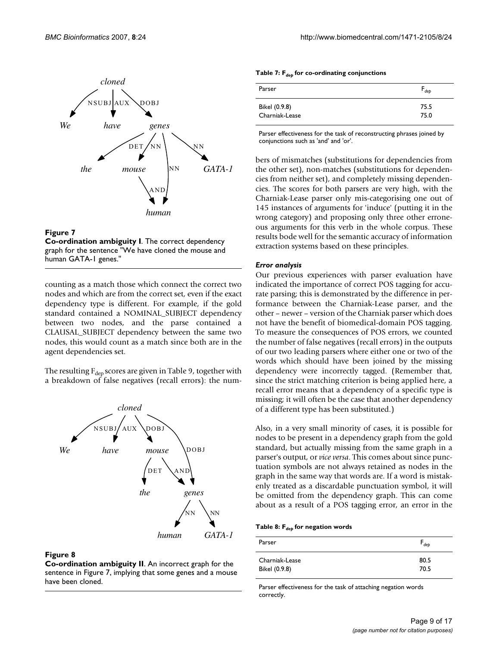



**Co-ordination ambiguity I**. The correct dependency graph for the sentence "We have cloned the mouse and human GATA-1 genes."

counting as a match those which connect the correct two nodes and which are from the correct set, even if the exact dependency type is different. For example, if the gold standard contained a NOMINAL\_SUBJECT dependency between two nodes, and the parse contained a CLAUSAL\_SUBJECT dependency between the same two nodes, this would count as a match since both are in the agent dependencies set.

The resulting  $F_{dep}$  scores are given in Table 9, together with a breakdown of false negatives (recall errors): the num-



### **Figure 8**

**Co-ordination ambiguity II**. An incorrect graph for the sentence in Figure 7, implying that some genes and a mouse have been cloned.

|  |  |  | Table 7: F <sub>dep</sub> for co-ordinating conjunctions |  |
|--|--|--|----------------------------------------------------------|--|
|--|--|--|----------------------------------------------------------|--|

| Parser                          | $F_{deb}$    |
|---------------------------------|--------------|
| Bikel (0.9.8)<br>Charniak-Lease | 75.5<br>75.0 |

Parser effectiveness for the task of reconstructing phrases joined by conjunctions such as 'and' and 'or'.

bers of mismatches (substitutions for dependencies from the other set), non-matches (substitutions for dependencies from neither set), and completely missing dependencies. The scores for both parsers are very high, with the Charniak-Lease parser only mis-categorising one out of 145 instances of arguments for 'induce' (putting it in the wrong category) and proposing only three other erroneous arguments for this verb in the whole corpus. These results bode well for the semantic accuracy of information extraction systems based on these principles.

### *Error analysis*

Our previous experiences with parser evaluation have indicated the importance of correct POS tagging for accurate parsing; this is demonstrated by the difference in performance between the Charniak-Lease parser, and the other – newer – version of the Charniak parser which does not have the benefit of biomedical-domain POS tagging. To measure the consequences of POS errors, we counted the number of false negatives (recall errors) in the outputs of our two leading parsers where either one or two of the words which should have been joined by the missing dependency were incorrectly tagged. (Remember that, since the strict matching criterion is being applied here, a recall error means that a dependency of a specific type is missing; it will often be the case that another dependency of a different type has been substituted.)

Also, in a very small minority of cases, it is possible for nodes to be present in a dependency graph from the gold standard, but actually missing from the same graph in a parser's output, or *vice versa*. This comes about since punctuation symbols are not always retained as nodes in the graph in the same way that words are. If a word is mistakenly treated as a discardable punctuation symbol, it will be omitted from the dependency graph. This can come about as a result of a POS tagging error, an error in the

#### **Table 8: F***dep* **for negation words**

| Parser         | $F_{dep}$ |
|----------------|-----------|
| Charniak-Lease | 80.5      |
| Bikel (0.9.8)  | 70.5      |

Parser effectiveness for the task of attaching negation words correctly.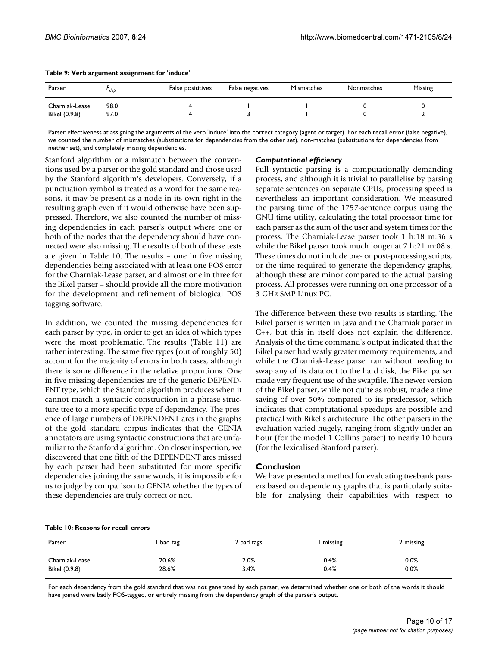| Parser         | deb  | False posititives | False negatives | Mismatches | Nonmatches | Missing |
|----------------|------|-------------------|-----------------|------------|------------|---------|
| Charniak-Lease | 98.0 |                   |                 |            |            |         |
| Bikel (0.9.8)  | 97.0 |                   |                 |            |            |         |

#### **Table 9: Verb argument assignment for 'induce'**

Parser effectiveness at assigning the arguments of the verb 'induce' into the correct category (agent or target). For each recall error (false negative), we counted the number of mismatches (substitutions for dependencies from the other set), non-matches (substitutions for dependencies from neither set), and completely missing dependencies.

Stanford algorithm or a mismatch between the conventions used by a parser or the gold standard and those used by the Stanford algorithm's developers. Conversely, if a punctuation symbol is treated as a word for the same reasons, it may be present as a node in its own right in the resulting graph even if it would otherwise have been suppressed. Therefore, we also counted the number of missing dependencies in each parser's output where one or both of the nodes that the dependency should have connected were also missing. The results of both of these tests are given in Table 10. The results – one in five missing dependencies being associated with at least one POS error for the Charniak-Lease parser, and almost one in three for the Bikel parser – should provide all the more motivation for the development and refinement of biological POS tagging software.

In addition, we counted the missing dependencies for each parser by type, in order to get an idea of which types were the most problematic. The results (Table 11) are rather interesting. The same five types (out of roughly 50) account for the majority of errors in both cases, although there is some difference in the relative proportions. One in five missing dependencies are of the generic DEPEND-ENT type, which the Stanford algorithm produces when it cannot match a syntactic construction in a phrase structure tree to a more specific type of dependency. The presence of large numbers of DEPENDENT arcs in the graphs of the gold standard corpus indicates that the GENIA annotators are using syntactic constructions that are unfamiliar to the Stanford algorithm. On closer inspection, we discovered that one fifth of the DEPENDENT arcs missed by each parser had been substituted for more specific dependencies joining the same words; it is impossible for us to judge by comparison to GENIA whether the types of these dependencies are truly correct or not.

### *Computational efficiency*

Full syntactic parsing is a computationally demanding process, and although it is trivial to parallelise by parsing separate sentences on separate CPUs, processing speed is nevertheless an important consideration. We measured the parsing time of the 1757-sentence corpus using the GNU time utility, calculating the total processor time for each parser as the sum of the user and system times for the process. The Charniak-Lease parser took 1 h:18 m:36 s while the Bikel parser took much longer at 7 h:21 m:08 s. These times do not include pre- or post-processing scripts, or the time required to generate the dependency graphs, although these are minor compared to the actual parsing process. All processes were running on one processor of a 3 GHz SMP Linux PC.

The difference between these two results is startling. The Bikel parser is written in Java and the Charniak parser in C++, but this in itself does not explain the difference. Analysis of the time command's output indicated that the Bikel parser had vastly greater memory requirements, and while the Charniak-Lease parser ran without needing to swap any of its data out to the hard disk, the Bikel parser made very frequent use of the swapfile. The newer version of the Bikel parser, while not quite as robust, made a time saving of over 50% compared to its predecessor, which indicates that comptutational speedups are possible and practical with Bikel's architecture. The other parsers in the evaluation varied hugely, ranging from slightly under an hour (for the model 1 Collins parser) to nearly 10 hours (for the lexicalised Stanford parser).

### **Conclusion**

We have presented a method for evaluating treebank parsers based on dependency graphs that is particularly suitable for analysing their capabilities with respect to

#### **Table 10: Reasons for recall errors**

| Parser         | bad tag | 2 bad tags | missing | 2 missing |
|----------------|---------|------------|---------|-----------|
| Charniak-Lease | 20.6%   | 2.0%       | 0.4%    | 0.0%      |
| Bikel (0.9.8)  | 28.6%   | 3.4%       | 0.4%    | 0.0%      |

For each dependency from the gold standard that was not generated by each parser, we determined whether one or both of the words it should have joined were badly POS-tagged, or entirely missing from the dependency graph of the parser's output.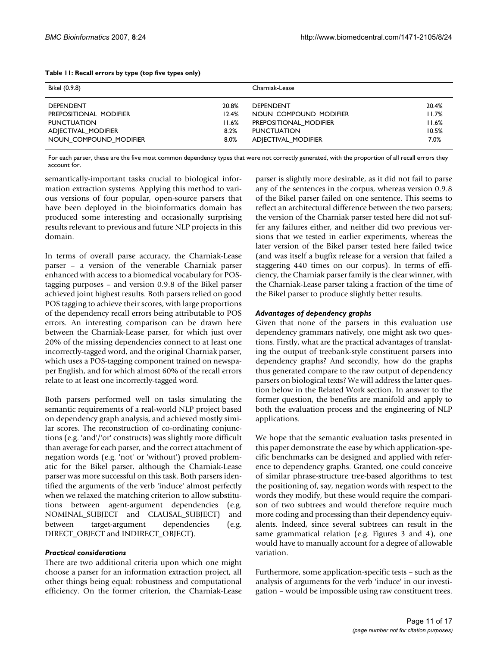| Bikel (0.9.8)          |       | Charniak-Lease         |       |
|------------------------|-------|------------------------|-------|
| <b>DEPENDENT</b>       | 20.8% | <b>DEPENDENT</b>       | 20.4% |
| PREPOSITIONAL MODIFIER | 12.4% | NOUN COMPOUND MODIFIER | 11.7% |
| <b>PUNCTUATION</b>     | 11.6% | PREPOSITIONAL MODIFIER | 11.6% |
| ADJECTIVAL MODIFIER    | 8.2%  | <b>PUNCTUATION</b>     | 10.5% |
| NOUN COMPOUND MODIFIER | 8.0%  | ADJECTIVAL MODIFIER    | 7.0%  |

#### **Table 11: Recall errors by type (top five types only)**

For each parser, these are the five most common dependency types that were not correctly generated, with the proportion of all recall errors they account for.

semantically-important tasks crucial to biological information extraction systems. Applying this method to various versions of four popular, open-source parsers that have been deployed in the bioinformatics domain has produced some interesting and occasionally surprising results relevant to previous and future NLP projects in this domain.

In terms of overall parse accuracy, the Charniak-Lease parser – a version of the venerable Charniak parser enhanced with access to a biomedical vocabulary for POStagging purposes – and version 0.9.8 of the Bikel parser achieved joint highest results. Both parsers relied on good POS tagging to achieve their scores, with large proportions of the dependency recall errors being attributable to POS errors. An interesting comparison can be drawn here between the Charniak-Lease parser, for which just over 20% of the missing dependencies connect to at least one incorrectly-tagged word, and the original Charniak parser, which uses a POS-tagging component trained on newspaper English, and for which almost 60% of the recall errors relate to at least one incorrectly-tagged word.

Both parsers performed well on tasks simulating the semantic requirements of a real-world NLP project based on dependency graph analysis, and achieved mostly similar scores. The reconstruction of co-ordinating conjunctions (e.g. 'and'/'or' constructs) was slightly more difficult than average for each parser, and the correct attachment of negation words (e.g. 'not' or 'without') proved problematic for the Bikel parser, although the Charniak-Lease parser was more successful on this task. Both parsers identified the arguments of the verb 'induce' almost perfectly when we relaxed the matching criterion to allow substitutions between agent-argument dependencies (e.g. NOMINAL\_SUBJECT and CLAUSAL\_SUBJECT) and between target-argument dependencies (e.g. DIRECT\_OBJECT and INDIRECT\_OBJECT).

### *Practical considerations*

There are two additional criteria upon which one might choose a parser for an information extraction project, all other things being equal: robustness and computational efficiency. On the former criterion, the Charniak-Lease parser is slightly more desirable, as it did not fail to parse any of the sentences in the corpus, whereas version 0.9.8 of the Bikel parser failed on one sentence. This seems to reflect an architectural difference between the two parsers; the version of the Charniak parser tested here did not suffer any failures either, and neither did two previous versions that we tested in earlier experiments, whereas the later version of the Bikel parser tested here failed twice (and was itself a bugfix release for a version that failed a staggering 440 times on our corpus). In terms of efficiency, the Charniak parser family is the clear winner, with the Charniak-Lease parser taking a fraction of the time of the Bikel parser to produce slightly better results.

### *Advantages of dependency graphs*

Given that none of the parsers in this evaluation use dependency grammars natively, one might ask two questions. Firstly, what are the practical advantages of translating the output of treebank-style constituent parsers into dependency graphs? And secondly, how do the graphs thus generated compare to the raw output of dependency parsers on biological texts? We will address the latter question below in the Related Work section. In answer to the former question, the benefits are manifold and apply to both the evaluation process and the engineering of NLP applications.

We hope that the semantic evaluation tasks presented in this paper demonstrate the ease by which application-specific benchmarks can be designed and applied with reference to dependency graphs. Granted, one could conceive of similar phrase-structure tree-based algorithms to test the positioning of, say, negation words with respect to the words they modify, but these would require the comparison of two subtrees and would therefore require much more coding and processing than their dependency equivalents. Indeed, since several subtrees can result in the same grammatical relation (e.g. Figures 3 and 4), one would have to manually account for a degree of allowable variation.

Furthermore, some application-specific tests – such as the analysis of arguments for the verb 'induce' in our investigation – would be impossible using raw constituent trees.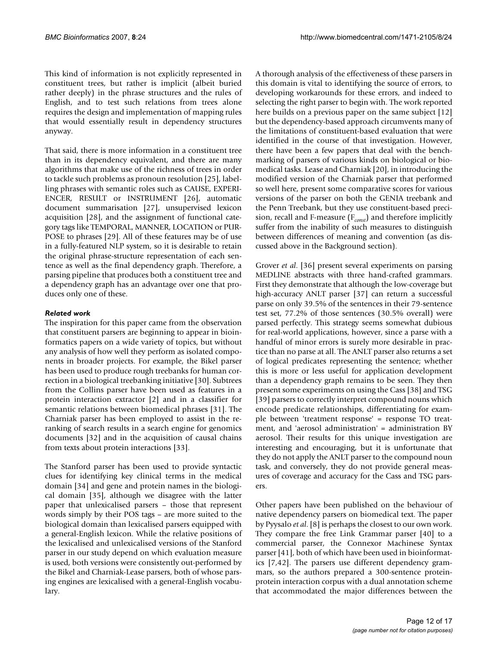This kind of information is not explicitly represented in constituent trees, but rather is implicit (albeit buried rather deeply) in the phrase structures and the rules of English, and to test such relations from trees alone requires the design and implementation of mapping rules that would essentially result in dependency structures anyway.

That said, there is more information in a constituent tree than in its dependency equivalent, and there are many algorithms that make use of the richness of trees in order to tackle such problems as pronoun resolution [25], labelling phrases with semantic roles such as CAUSE, EXPERI-ENCER, RESULT or INSTRUMENT [26], automatic document summarisation [27], unsupervised lexicon acquisition [28], and the assignment of functional category tags like TEMPORAL, MANNER, LOCATION or PUR-POSE to phrases [29]. All of these features may be of use in a fully-featured NLP system, so it is desirable to retain the original phrase-structure representation of each sentence as well as the final dependency graph. Therefore, a parsing pipeline that produces both a constituent tree and a dependency graph has an advantage over one that produces only one of these.

### *Related work*

The inspiration for this paper came from the observation that constituent parsers are beginning to appear in bioinformatics papers on a wide variety of topics, but without any analysis of how well they perform as isolated components in broader projects. For example, the Bikel parser has been used to produce rough treebanks for human correction in a biological treebanking initiative [30]. Subtrees from the Collins parser have been used as features in a protein interaction extractor [2] and in a classifier for semantic relations between biomedical phrases [31]. The Charniak parser has been employed to assist in the reranking of search results in a search engine for genomics documents [32] and in the acquisition of causal chains from texts about protein interactions [33].

The Stanford parser has been used to provide syntactic clues for identifying key clinical terms in the medical domain [34] and gene and protein names in the biological domain [35], although we disagree with the latter paper that unlexicalised parsers – those that represent words simply by their POS tags – are more suited to the biological domain than lexicalised parsers equipped with a general-English lexicon. While the relative positions of the lexicalised and unlexicalised versions of the Stanford parser in our study depend on which evaluation measure is used, both versions were consistently out-performed by the Bikel and Charniak-Lease parsers, both of whose parsing engines are lexicalised with a general-English vocabulary.

A thorough analysis of the effectiveness of these parsers in this domain is vital to identifying the source of errors, to developing workarounds for these errors, and indeed to selecting the right parser to begin with. The work reported here builds on a previous paper on the same subject [12] but the dependency-based approach circumvents many of the limitations of constituent-based evaluation that were identified in the course of that investigation. However, there have been a few papers that deal with the benchmarking of parsers of various kinds on biological or biomedical tasks. Lease and Charniak [20], in introducing the modified version of the Charniak parser that performed so well here, present some comparative scores for various versions of the parser on both the GENIA treebank and the Penn Treebank, but they use constituent-based precision, recall and F-measure (F*const*) and therefore implicitly suffer from the inability of such measures to distinguish between differences of meaning and convention (as discussed above in the Background section).

Grover *et al*. [36] present several experiments on parsing MEDLINE abstracts with three hand-crafted grammars. First they demonstrate that although the low-coverage but high-accuracy ANLT parser [37] can return a successful parse on only 39.5% of the sentences in their 79-sentence test set, 77.2% of those sentences (30.5% overall) were parsed perfectly. This strategy seems somewhat dubious for real-world applications, however, since a parse with a handful of minor errors is surely more desirable in practice than no parse at all. The ANLT parser also returns a set of logical predicates representing the sentence; whether this is more or less useful for application development than a dependency graph remains to be seen. They then present some experiments on using the Cass [38] and TSG [39] parsers to correctly interpret compound nouns which encode predicate relationships, differentiating for example between 'treatment response' = response TO treatment, and 'aerosol administration' = administration BY aerosol. Their results for this unique investigation are interesting and encouraging, but it is unfortunate that they do not apply the ANLT parser to the compound noun task, and conversely, they do not provide general measures of coverage and accuracy for the Cass and TSG parsers.

Other papers have been published on the behaviour of native dependency parsers on biomedical text. The paper by Pyysalo *et al*. [8] is perhaps the closest to our own work. They compare the free Link Grammar parser [40] to a commercial parser, the Connexor Machinese Syntax parser [41], both of which have been used in bioinformatics [7,42]. The parsers use different dependency grammars, so the authors prepared a 300-sentence proteinprotein interaction corpus with a dual annotation scheme that accommodated the major differences between the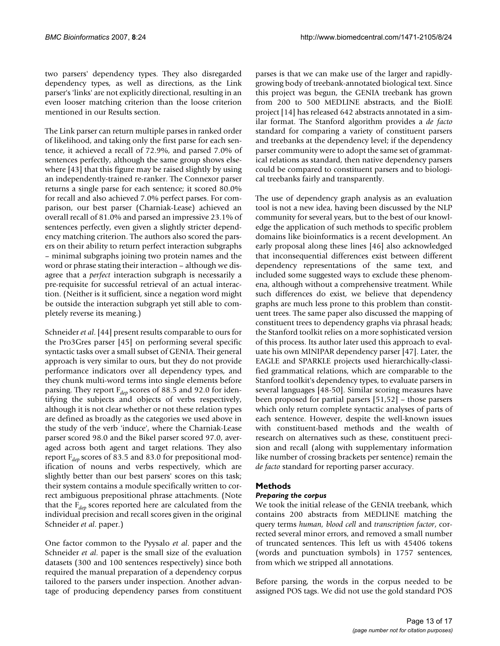two parsers' dependency types. They also disregarded dependency types, as well as directions, as the Link parser's 'links' are not explicitly directional, resulting in an even looser matching criterion than the loose criterion mentioned in our Results section.

The Link parser can return multiple parses in ranked order of likelihood, and taking only the first parse for each sentence, it achieved a recall of 72.9%, and parsed 7.0% of sentences perfectly, although the same group shows elsewhere [43] that this figure may be raised slightly by using an independently-trained re-ranker. The Connexor parser returns a single parse for each sentence; it scored 80.0% for recall and also achieved 7.0% perfect parses. For comparison, our best parser (Charniak-Lease) achieved an overall recall of 81.0% and parsed an impressive 23.1% of sentences perfectly, even given a slightly stricter dependency matching criterion. The authors also scored the parsers on their ability to return perfect interaction subgraphs – minimal subgraphs joining two protein names and the word or phrase stating their interaction – although we disagree that a *perfect* interaction subgraph is necessarily a pre-requisite for successful retrieval of an actual interaction. (Neither is it sufficient, since a negation word might be outside the interaction subgraph yet still able to completely reverse its meaning.)

Schneider *et al*. [44] present results comparable to ours for the Pro3Gres parser [45] on performing several specific syntactic tasks over a small subset of GENIA. Their general approach is very similar to ours, but they do not provide performance indicators over all dependency types, and they chunk multi-word terms into single elements before parsing. They report F*dep* scores of 88.5 and 92.0 for identifying the subjects and objects of verbs respectively, although it is not clear whether or not these relation types are defined as broadly as the categories we used above in the study of the verb 'induce', where the Charniak-Lease parser scored 98.0 and the Bikel parser scored 97.0, averaged across both agent and target relations. They also report F*dep* scores of 83.5 and 83.0 for prepositional modification of nouns and verbs respectively, which are slightly better than our best parsers' scores on this task; their system contains a module specifically written to correct ambiguous prepositional phrase attachments. (Note that the F*dep* scores reported here are calculated from the individual precision and recall scores given in the original Schneider *et al*. paper.)

One factor common to the Pyysalo *et al*. paper and the Schneider *et al*. paper is the small size of the evaluation datasets (300 and 100 sentences respectively) since both required the manual preparation of a dependency corpus tailored to the parsers under inspection. Another advantage of producing dependency parses from constituent parses is that we can make use of the larger and rapidlygrowing body of treebank-annotated biological text. Since this project was begun, the GENIA treebank has grown from 200 to 500 MEDLINE abstracts, and the BioIE project [14] has released 642 abstracts annotated in a similar format. The Stanford algorithm provides a *de facto* standard for comparing a variety of constituent parsers and treebanks at the dependency level; if the dependency parser community were to adopt the same set of grammatical relations as standard, then native dependency parsers could be compared to constituent parsers and to biological treebanks fairly and transparently.

The use of dependency graph analysis as an evaluation tool is not a new idea, having been discussed by the NLP community for several years, but to the best of our knowledge the application of such methods to specific problem domains like bioinformatics is a recent development. An early proposal along these lines [46] also acknowledged that inconsequential differences exist between different dependency representations of the same text, and included some suggested ways to exclude these phenomena, although without a comprehensive treatment. While such differences do exist, we believe that dependency graphs are much less prone to this problem than constituent trees. The same paper also discussed the mapping of constituent trees to dependency graphs via phrasal heads; the Stanford toolkit relies on a more sophisticated version of this process. Its author later used this approach to evaluate his own MINIPAR dependency parser [47]. Later, the EAGLE and SPARKLE projects used hierarchically-classified grammatical relations, which are comparable to the Stanford toolkit's dependency types, to evaluate parsers in several languages [48-50]. Similar scoring measures have been proposed for partial parsers [51,52] – those parsers which only return complete syntactic analyses of parts of each sentence. However, despite the well-known issues with constituent-based methods and the wealth of research on alternatives such as these, constituent precision and recall (along with supplementary information like number of crossing brackets per sentence) remain the *de facto* standard for reporting parser accuracy.

### **Methods**

### *Preparing the corpus*

We took the initial release of the GENIA treebank, which contains 200 abstracts from MEDLINE matching the query terms *human, blood cell* and *transcription factor*, corrected several minor errors, and removed a small number of truncated sentences. This left us with 45406 tokens (words and punctuation symbols) in 1757 sentences, from which we stripped all annotations.

Before parsing, the words in the corpus needed to be assigned POS tags. We did not use the gold standard POS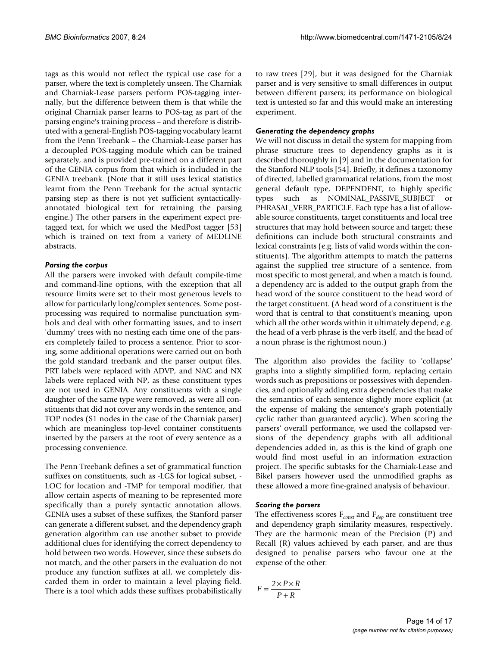tags as this would not reflect the typical use case for a parser, where the text is completely unseen. The Charniak and Charniak-Lease parsers perform POS-tagging internally, but the difference between them is that while the original Charniak parser learns to POS-tag as part of the parsing engine's training process – and therefore is distributed with a general-English POS-tagging vocabulary learnt from the Penn Treebank – the Charniak-Lease parser has a decoupled POS-tagging module which can be trained separately, and is provided pre-trained on a different part of the GENIA corpus from that which is included in the GENIA treebank. (Note that it still uses lexical statistics learnt from the Penn Treebank for the actual syntactic parsing step as there is not yet sufficient syntacticallyannotated biological text for retraining the parsing engine.) The other parsers in the experiment expect pretagged text, for which we used the MedPost tagger [53] which is trained on text from a variety of MEDLINE abstracts.

### *Parsing the corpus*

All the parsers were invoked with default compile-time and command-line options, with the exception that all resource limits were set to their most generous levels to allow for particularly long/complex sentences. Some postprocessing was required to normalise punctuation symbols and deal with other formatting issues, and to insert 'dummy' trees with no nesting each time one of the parsers completely failed to process a sentence. Prior to scoring, some additional operations were carried out on both the gold standard treebank and the parser output files. PRT labels were replaced with ADVP, and NAC and NX labels were replaced with NP, as these constituent types are not used in GENIA. Any constituents with a single daughter of the same type were removed, as were all constituents that did not cover any words in the sentence, and TOP nodes (S1 nodes in the case of the Charniak parser) which are meaningless top-level container constituents inserted by the parsers at the root of every sentence as a processing convenience.

The Penn Treebank defines a set of grammatical function suffixes on constituents, such as -LGS for logical subset, - LOC for location and -TMP for temporal modifier, that allow certain aspects of meaning to be represented more specifically than a purely syntactic annotation allows. GENIA uses a subset of these suffixes, the Stanford parser can generate a different subset, and the dependency graph generation algorithm can use another subset to provide additional clues for identifying the correct dependency to hold between two words. However, since these subsets do not match, and the other parsers in the evaluation do not produce any function suffixes at all, we completely discarded them in order to maintain a level playing field. There is a tool which adds these suffixes probabilistically to raw trees [29], but it was designed for the Charniak parser and is very sensitive to small differences in output between different parsers; its performance on biological text is untested so far and this would make an interesting experiment.

### *Generating the dependency graphs*

We will not discuss in detail the system for mapping from phrase structure trees to dependency graphs as it is described thoroughly in [9] and in the documentation for the Stanford NLP tools [54]. Briefly, it defines a taxonomy of directed, labelled grammatical relations, from the most general default type, DEPENDENT, to highly specific types such as NOMINAL\_PASSIVE\_SUBJECT or PHRASAL\_VERB\_PARTICLE. Each type has a list of allowable source constituents, target constituents and local tree structures that may hold between source and target; these definitions can include both structural constraints and lexical constraints (e.g. lists of valid words within the constituents). The algorithm attempts to match the patterns against the supplied tree structure of a sentence, from most specific to most general, and when a match is found, a dependency arc is added to the output graph from the head word of the source constituent to the head word of the target constituent. (A head word of a constituent is the word that is central to that constituent's meaning, upon which all the other words within it ultimately depend; e.g. the head of a verb phrase is the verb itself, and the head of a noun phrase is the rightmost noun.)

The algorithm also provides the facility to 'collapse' graphs into a slightly simplified form, replacing certain words such as prepositions or possessives with dependencies, and optionally adding extra dependencies that make the semantics of each sentence slightly more explicit (at the expense of making the sentence's graph potentially cyclic rather than guaranteed acyclic). When scoring the parsers' overall performance, we used the collapsed versions of the dependency graphs with all additional dependencies added in, as this is the kind of graph one would find most useful in an information extraction project. The specific subtasks for the Charniak-Lease and Bikel parsers however used the unmodified graphs as these allowed a more fine-grained analysis of behaviour.

### *Scoring the parsers*

The effectiveness scores F*const* and F*dep* are constituent tree and dependency graph similarity measures, respectively. They are the harmonic mean of the Precision (P) and Recall (R) values achieved by each parser, and are thus designed to penalise parsers who favour one at the expense of the other:

$$
F = \frac{2 \times P \times R}{P + R}
$$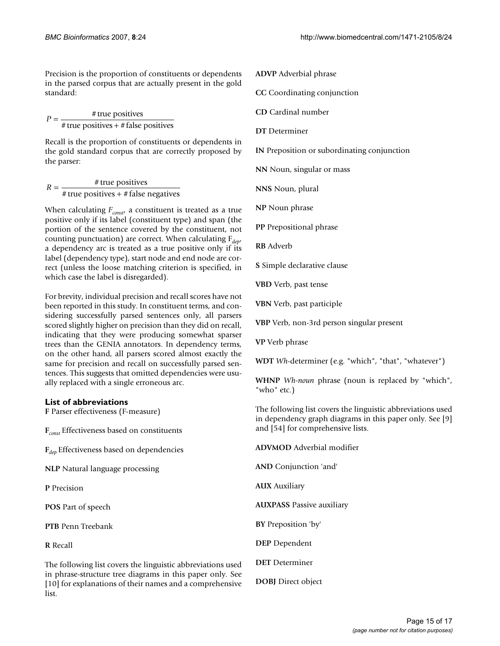Precision is the proportion of constituents or dependents in the parsed corpus that are actually present in the gold standard:

 $P = \frac{\text{\# true pc}}{\text{\# true positives}}$ # true positives + # true positives true positives  $+$  # false positives

Recall is the proportion of constituents or dependents in the gold standard corpus that are correctly proposed by the parser:

 $R = \frac{\text{\# true p}}{\text{\# true positives +}}$ # true positives + # true positives true positives + #false negatives

When calculating  $F_{const}$  a constituent is treated as a true positive only if its label (constituent type) and span (the portion of the sentence covered by the constituent, not counting punctuation) are correct. When calculating F<sub>dep</sub>, a dependency arc is treated as a true positive only if its label (dependency type), start node and end node are correct (unless the loose matching criterion is specified, in which case the label is disregarded).

For brevity, individual precision and recall scores have not been reported in this study. In constituent terms, and considering successfully parsed sentences only, all parsers scored slightly higher on precision than they did on recall, indicating that they were producing somewhat sparser trees than the GENIA annotators. In dependency terms, on the other hand, all parsers scored almost exactly the same for precision and recall on successfully parsed sentences. This suggests that omitted dependencies were usually replaced with a single erroneous arc.

### **List of abbreviations**

**F** Parser effectiveness (F-measure)

**F***const* Effectiveness based on constituents

**F***dep* Effectiveness based on dependencies

**NLP** Natural language processing

**P** Precision

**POS** Part of speech

**PTB** Penn Treebank

**R** Recall

The following list covers the linguistic abbreviations used in phrase-structure tree diagrams in this paper only. See [10] for explanations of their names and a comprehensive list.

**ADVP** Adverbial phrase **CC** Coordinating conjunction **CD** Cardinal number **DT** Determiner **IN** Preposition or subordinating conjunction **NN** Noun, singular or mass **NNS** Noun, plural **NP** Noun phrase **PP** Prepositional phrase **RB** Adverb **S** Simple declarative clause **VBD** Verb, past tense **VBN** Verb, past participle **VBP** Verb, non-3rd person singular present **VP** Verb phrase **WDT** *Wh*-determiner (e.g. "which", "that", "whatever") **WHNP** *Wh-noun* phrase (noun is replaced by "which", "who" etc.) The following list covers the linguistic abbreviations used in dependency graph diagrams in this paper only. See [9] and [54] for comprehensive lists. **ADVMOD** Adverbial modifier **AND** Conjunction 'and' **AUX** Auxiliary

**AUXPASS** Passive auxiliary

**BY** Preposition 'by'

**DEP** Dependent

**DET** Determiner

### **DOBJ** Direct object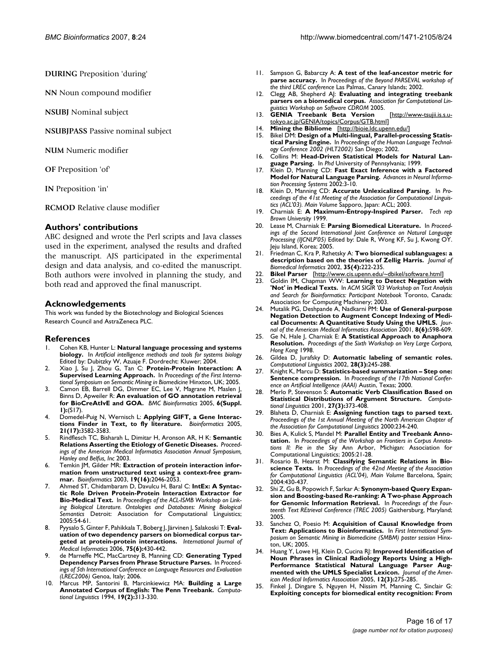**DURING** Preposition 'during'

**NN** Noun compound modifier

**NSUBJ** Nominal subject

**NSUBJPASS** Passive nominal subject

**NUM** Numeric modifier

**OF** Preposition 'of'

**IN** Preposition 'in'

**RCMOD** Relative clause modifier

### **Authors' contributions**

ABC designed and wrote the Perl scripts and Java classes used in the experiment, analysed the results and drafted the manuscript. AJS participated in the experimental design and data analysis, and co-edited the manuscript. Both authors were involved in planning the study, and both read and approved the final manuscript.

### **Acknowledgements**

This work was funded by the Biotechnology and Biological Sciences Research Council and AstraZeneca PLC.

#### **References**

- 1. Cohen KB, Hunter L: **Natural language processing and systems biology.** In *Artificial intelligence methods and tools for systems biology* Edited by: Dubitzky W, Azuaje F. Dordrecht: Kluwer; 2004.
- 2. Xiao J, Su J, Zhou G, Tan C: **Protein-Protein Interaction: A Supervised Learning Approach.** In *Proceedings of the First International Symposium on Semantic Mining in Biomedicine* Hinxton, UK; 2005.
- Camon EB, Barrell DG, Dimmer EC, Lee V, Magrane M, Maslen J, Binns D, Apweiler R: **[An evaluation of GO annotation retrieval](http://www.ncbi.nlm.nih.gov/entrez/query.fcgi?cmd=Retrieve&db=PubMed&dopt=Abstract&list_uids=15960829) [for BioCreAtIvE and GOA.](http://www.ncbi.nlm.nih.gov/entrez/query.fcgi?cmd=Retrieve&db=PubMed&dopt=Abstract&list_uids=15960829)** *BMC Bioinformatics* 2005, **6(Suppl. 1):**(S17).
- 4. Domedel-Puig N, Wernisch L: **[Applying GIFT, a Gene Interac](http://www.ncbi.nlm.nih.gov/entrez/query.fcgi?cmd=Retrieve&db=PubMed&dopt=Abstract&list_uids=16014369)[tions Finder in Text, to fly literature.](http://www.ncbi.nlm.nih.gov/entrez/query.fcgi?cmd=Retrieve&db=PubMed&dopt=Abstract&list_uids=16014369)** *Bioinformatics* 2005, **21(17):**3582-3583.
- 5. Rindflesch TC, Bisharah L, Dimitar H, Aronson AR, H K: **Semantic Relations Asserting the Etiology of Genetic Diseases.** *Proceedings of the American Medical Informatics Association Annual Symposium, Hanley and Belfus, Inc* 2003.
- 6. Temkin JM, Gilder MR: **[Extraction of protein interaction infor](http://www.ncbi.nlm.nih.gov/entrez/query.fcgi?cmd=Retrieve&db=PubMed&dopt=Abstract&list_uids=14594709)[mation from unstructured text using a context-free gram](http://www.ncbi.nlm.nih.gov/entrez/query.fcgi?cmd=Retrieve&db=PubMed&dopt=Abstract&list_uids=14594709)[mar.](http://www.ncbi.nlm.nih.gov/entrez/query.fcgi?cmd=Retrieve&db=PubMed&dopt=Abstract&list_uids=14594709)** *Bioinformatics* 2003, **19(16):**2046-2053.
- Ahmed ST, Chidambaram D, Davulcu H, Baral C: IntEx: A Syntac**tic Role Driven Protein-Protein Interaction Extractor for Bio-Medical Text.** In *Proceedings of the ACL-ISMB Workshop on Linking Biological Literature. Ontologies and Databases: Mining Biological Semantics* Detroit: Association for Computational Linguistics; 2005:54-61.
- 8. Pyysalo S, Ginter F, Pahikkala T, Boberg J, Järvinen J, Salakoski T: **[Eval](http://www.ncbi.nlm.nih.gov/entrez/query.fcgi?cmd=Retrieve&db=PubMed&dopt=Abstract&list_uids=16099201)[uation of two dependency parsers on biomedical corpus tar](http://www.ncbi.nlm.nih.gov/entrez/query.fcgi?cmd=Retrieve&db=PubMed&dopt=Abstract&list_uids=16099201)[geted at protein-protein interactions.](http://www.ncbi.nlm.nih.gov/entrez/query.fcgi?cmd=Retrieve&db=PubMed&dopt=Abstract&list_uids=16099201)** *International Journal of Medical Informatics* 2006, **75(6):**430-442.
- 9. de Marneffe MC, MacCartney B, Manning CD: **Generating Typed Dependency Parses from Phrase Structure Parses.** In *Proceedings of 5th International Conference on Language Resources and Evaluation (LREC2006)* Genoa, Italy; 2006.
- 10. Marcus MP, Santorini B, Marcinkiewicz MA: **Building a Large Annotated Corpus of English: The Penn Treebank.** *Computational Linguistics* 1994, **19(2):**313-330.
- 11. Sampson G, Babarczy A: **A test of the leaf-ancestor metric for parse accuracy.** In *Proceedings of the Beyond PARSEVAL workshop of the third LREC conference* Las Palmas, Canary Islands; 2002.
- 12. Clegg AB, Shepherd AJ: **Evaluating and integrating treebank parsers on a biomedical corpus.** *Association for Computational Linguistics Workshop on Software CDROM* 2005.
- 13. GENIA Treebank Beta Version [[http://www-tsujii.is.s.u](http://www-tsujii.is.s.u-tokyo.ac.jp/GENIA/topics/Corpus/GTB.html)[tokyo.ac.jp/GENIA/topics/Corpus/GTB.html\]](http://www-tsujii.is.s.u-tokyo.ac.jp/GENIA/topics/Corpus/GTB.html)
- 14. **Mining the Bibliome** [[http://bioie.ldc.upenn.edu/\]](http://bioie.ldc.upenn.edu/)
- 15. Bikel DM: **Design of a Multi-lingual, Parallel-processing Statistical Parsing Engine.** In *Proceedings of the Human Language Technology Conference 2002 (HLT2002)* San Diego; 2002.
- 16. Collins M: **Head-Driven Statistical Models for Natural Language Parsing.** In *Phd* University of Pennsylvania; 1999.
- 17. Klein D, Manning CD: **Fast Exact Inference with a Factored Model for Natural Language Parsing.** *Advances in Neural Information Processing Systems* 2002:3-10.
- 18. Klein D, Manning CD: **Accurate Unlexicalized Parsing.** In *Proceedings of the 41st Meeting of the Association for Computational Linguistics (ACL'03). Main Volume* Sapporo, Japan: ACL; 2003.
- 19. Charniak E: **A Maximum-Entropy-Inspired Parser.** *Tech rep Brown University* 1999.
- 20. Lease M, Charniak E: **Parsing Biomedical Literature.** In *Proceedings of the Second International Joint Conference on Natural Language Processing (IJCNLP'05)* Edited by: Dale R, Wong KF, Su J, Kwong OY. Jeju Island, Korea; 2005.
- 21. Friedman C, Kra P, Rzhetsky A: **[Two biomedical sublanguages: a](http://www.ncbi.nlm.nih.gov/entrez/query.fcgi?cmd=Retrieve&db=PubMed&dopt=Abstract&list_uids=12755517) [description based on the theories of Zellig Harris.](http://www.ncbi.nlm.nih.gov/entrez/query.fcgi?cmd=Retrieve&db=PubMed&dopt=Abstract&list_uids=12755517)** *Journal of Biomedical Informatics* 2002, **35(4):**222-235.
- 22. **Bikel Parser** [<http://www.cis.upenn.edu/~dbikel/software.html>]
- 23. Goldin IM, Chapman WW: **Learning to Detect Negation with 'Not' in Medical Texts.** In *ACM SIGIR '03 Workshop on Text Analysis and Search for Bioinformatics: Participant Notebook* Toronto, Canada: Association for Computing Machinery; 2003.
- 24. Mutalik PG, Deshpande A, Nadkarni PM: **[Use of General-purpose](http://www.ncbi.nlm.nih.gov/entrez/query.fcgi?cmd=Retrieve&db=PubMed&dopt=Abstract&list_uids=11687566) [Negation Detection to Augment Concept Indexing of Medi](http://www.ncbi.nlm.nih.gov/entrez/query.fcgi?cmd=Retrieve&db=PubMed&dopt=Abstract&list_uids=11687566)[cal Documents: A Quantitative Study Using the UMLS.](http://www.ncbi.nlm.nih.gov/entrez/query.fcgi?cmd=Retrieve&db=PubMed&dopt=Abstract&list_uids=11687566)** *Journal of the American Medical Informatics Association* 2001, **8(6):**598-609.
- 25. Ge N, Hale J, Charniak E: **A Statistical Approach to Anaphora Resolution.** *Proceedings of the Sixth Workshop on Very Large Corpora, Hong Kong* 1998.
- 26. Gildea D, Jurafsky D: **Automatic labeling of semantic roles.** *Computational Linguistics* 2002, **28(3):**245-288.
- 27. Knight K, Marcu D: **Statistics-based summarization Step one: Sentence compression.** In *Proceedings of the 17th National Conference on Artificial Intelligence (AAAI)* Austin, Texas; 2000.
- 28. Merlo P, Stevenson S: **Automatic Verb Classification Based on Statistical Distributions of Argument Structure.** *Computational Linguistics* 2001, **27(3):**373-408.
- 29. Blaheta D, Charniak E: **Assigning function tags to parsed text.** *Proceedings of the 1st Annual Meeting of the North American Chapter of the Association for Computational Linguistics* 2000:234-240.
- 30. Bies A, Kulick S, Mandel M: **Parallel Entity and Treebank Annotation.** In *Proceedings of the Workshop on Frontiers in Corpus Annotations II: Pie in the Sky* Ann Arbor, Michigan: Association for Computational Linguistics; 2005:21-28.
- 31. Rosario B, Hearst M: **Classifying Semantic Relations in Bioscience Texts.** In *Proceedings of the 42nd Meeting of the Association for Computational Linguistics (ACL'04), Main Volume* Barcelona, Spain; 2004:430-437.
- 32. Shi Z, Gu B, Popowich F, Sarkar A: **Synonym-based Query Expansion and Boosting-based Re-ranking: A Two-phase Approach for Genomic Information Retrieval.** In *Proceedings of the Fourteenth Text REtrieval Conference (TREC 2005)* Gaithersburg, Maryland; 2005.
- 33. Sanchez O, Poesio M: **Acquisition of Causal Knowledge from Text: Applications to Bioinformatics.** In *First International Symposium on Semantic Mining in Biomedicine (SMBM) poster session* Hinxton, UK; 2005.
- 34. Huang Y, Lowe HJ, Klein D, Cucina RJ: **[Improved Identification of](http://www.ncbi.nlm.nih.gov/entrez/query.fcgi?cmd=Retrieve&db=PubMed&dopt=Abstract&list_uids=15684131) Noun Phrases in Clinical Radiology Reports Using a High-[Performance Statistical Natural Language Parser Aug](http://www.ncbi.nlm.nih.gov/entrez/query.fcgi?cmd=Retrieve&db=PubMed&dopt=Abstract&list_uids=15684131)[mented with the UMLS Specialist Lexicon.](http://www.ncbi.nlm.nih.gov/entrez/query.fcgi?cmd=Retrieve&db=PubMed&dopt=Abstract&list_uids=15684131)** *Journal of the American Medical Informatics Association* 2005, **12(3):**275-285.
- 35. Finkel J, Dingare S, Nguyen H, Nissim M, Manning C, Sinclair G: **Exploiting concepts for biomedical entity recognition: From**